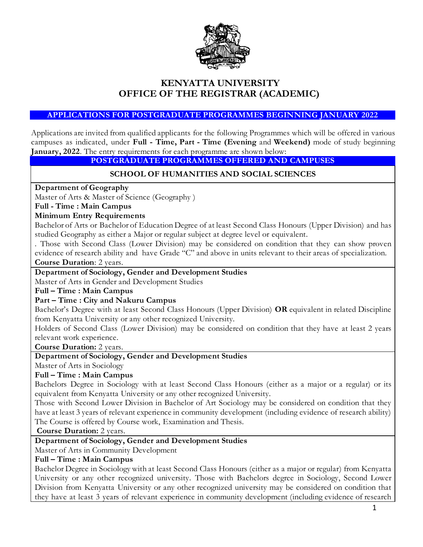

# **KENYATTA UNIVERSITY OFFICE OF THE REGISTRAR (ACADEMIC)**

#### **APPLICATIONS FOR POSTGRADUATE PROGRAMMES BEGINNING JANUARY 2022**

Applications are invited from qualified applicants for the following Programmes which will be offered in various campuses as indicated, under **Full - Time, Part - Time (Evening** and **Weekend)** mode of study beginning **January, 2022**. The entry requirements for each programme are shown below:

#### **POSTGRADUATE PROGRAMMES OFFERED AND CAMPUSES**

#### **SCHOOL OF HUMANITIES AND SOCIAL SCIENCES**

#### **Department of Geography**

Master of Arts & Master of Science (Geography )

#### **Full - Time : Main Campus**

#### **Minimum Entry Requirements**

Bachelor of Arts or Bachelor of Education Degree of at least Second Class Honours (Upper Division) and has studied Geography as either a Major or regular subject at degree level or equivalent.

. Those with Second Class (Lower Division) may be considered on condition that they can show proven evidence of research ability and have Grade "C" and above in units relevant to their areas of specialization. **Course Duration**: 2 years.

#### **Department of Sociology, Gender and Development Studies**

Master of Arts in Gender and Development Studies

#### **Full – Time : Main Campus**

#### **Part – Time : City and Nakuru Campus**

Bachelor's Degree with at least Second Class Honours (Upper Division) **OR** equivalent in related Discipline from Kenyatta University or any other recognized University.

Holders of Second Class (Lower Division) may be considered on condition that they have at least 2 years relevant work experience.

**Course Duration:** 2 years.

### **Department of Sociology, Gender and Development Studies**

Master of Arts in Sociology

#### **Full – Time : Main Campus**

Bachelors Degree in Sociology with at least Second Class Honours (either as a major or a regular) or its equivalent from Kenyatta University or any other recognized University.

Those with Second Lower Division in Bachelor of Art Sociology may be considered on condition that they have at least 3 years of relevant experience in community development (including evidence of research ability) The Course is offered by Course work, Examination and Thesis.

**Course Duration:** 2 years.

### **Department of Sociology, Gender and Development Studies**

Master of Arts in Community Development

#### **Full – Time : Main Campus**

Bachelor Degree in Sociology with at least Second Class Honours (either as a major or regular) from Kenyatta University or any other recognized university. Those with Bachelors degree in Sociology, Second Lower Division from Kenyatta University or any other recognized university may be considered on condition that they have at least 3 years of relevant experience in community development (including evidence of research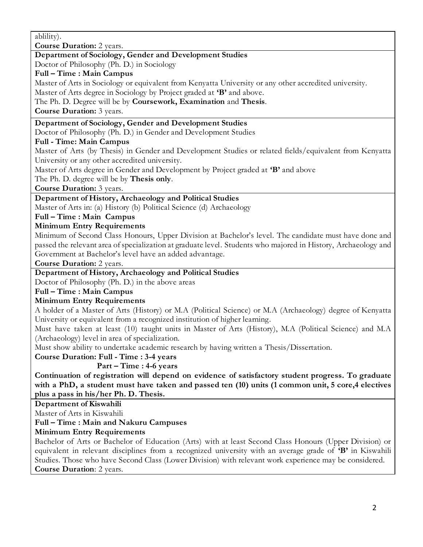ablility).

**Course Duration:** 2 years.

# **Department of Sociology, Gender and Development Studies**

Doctor of Philosophy (Ph. D.) in Sociology

### **Full – Time : Main Campus**

Master of Arts in Sociology or equivalent from Kenyatta University or any other accredited university.

Master of Arts degree in Sociology by Project graded at **'B'** and above.

The Ph. D. Degree will be by **Coursework, Examination** and **Thesis**.

**Course Duration:** 3 years.

### **Department of Sociology, Gender and Development Studies**

Doctor of Philosophy (Ph. D.) in Gender and Development Studies

# **Full - Time: Main Campus**

Master of Arts (by Thesis) in Gender and Development Studies or related fields/equivalent from Kenyatta University or any other accredited university.

Master of Arts degree in Gender and Development by Project graded at **'B'** and above

The Ph. D. degree will be by **Thesis only**.

**Course Duration:** 3 years.

# **Department of History, Archaeology and Political Studies**

Master of Arts in: (a) History (b) Political Science (d) Archaeology

# **Full – Time : Main Campus**

### **Minimum Entry Requirements**

Minimum of Second Class Honours, Upper Division at Bachelor's level. The candidate must have done and passed the relevant area of specialization at graduate level. Students who majored in History, Archaeology and Government at Bachelor's level have an added advantage.

**Course Duration:** 2 years.

**Department of History, Archaeology and Political Studies**

Doctor of Philosophy (Ph. D.) in the above areas

# **Full – Time : Main Campus**

# **Minimum Entry Requirements**

A holder of a Master of Arts (History) or M.A (Political Science) or M.A (Archaeology) degree of Kenyatta University or equivalent from a recognized institution of higher learning.

Must have taken at least (10) taught units in Master of Arts (History), M.A (Political Science) and M.A (Archaeology) level in area of specialization.

Must show ability to undertake academic research by having written a Thesis/Dissertation.

### **Course Duration: Full - Time : 3-4 years**

# **Part – Time : 4-6 years**

**Continuation of registration will depend on evidence of satisfactory student progress. To graduate with a PhD, a student must have taken and passed ten (10) units (1 common unit, 5 core,4 electives plus a pass in his/her Ph. D. Thesis.**

**Department of Kiswahili** 

Master of Arts in Kiswahili

# **Full – Time : Main and Nakuru Campuses**

# **Minimum Entry Requirements**

Bachelor of Arts or Bachelor of Education (Arts) with at least Second Class Honours (Upper Division) or equivalent in relevant disciplines from a recognized university with an average grade of **'B'** in Kiswahili Studies. Those who have Second Class (Lower Division) with relevant work experience may be considered. **Course Duration**: 2 years.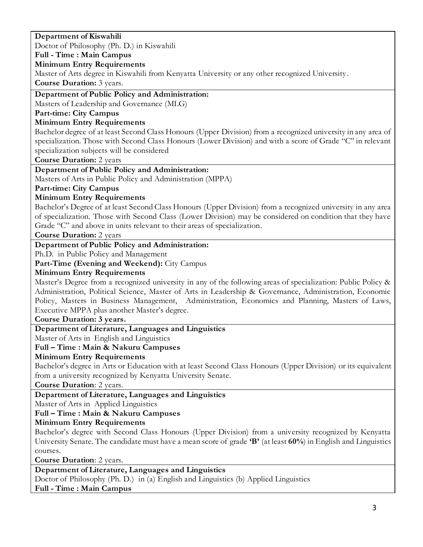### **Department of Kiswahili**  Doctor of Philosophy (Ph. D.) in Kiswahili **Full - Time : Main Campus Minimum Entry Requirements**  Master of Arts degree in Kiswahili from Kenyatta University or any other recognized University . **Course Duration:** 3 years. **Department of Public Policy and Administration:** Masters of Leadership and Governance (MLG) **Part-time: City Campus Minimum Entry Requirements** Bachelor degree of at least Second Class Honours (Upper Division) from a recognized university in any area of specialization. Those with Second Class Honours (Lower Division) and with a score of Grade "C" in relevant specialization subjects will be considered **Course Duration:** 2 years **Department of Public Policy and Administration:** Masters of Arts in Public Policy and Administration (MPPA) **Part-time: City Campus Minimum Entry Requirements**  Bachelor's Degree of at least Second Class Honours (Upper Division) from a recognized university in any area of specialization. Those with Second Class (Lower Division) may be considered on condition that they have Grade "C" and above in units relevant to their areas of specialization. **Course Duration:** 2 years **Department of Public Policy and Administration:** Ph.D. in Public Policy and Management Part-Time (Evening and Weekend): City Campus **Minimum Entry Requirements**  Master's Degree from a recognized university in any of the following areas of specialization: Public Policy & Administration, Political Science, Master of Arts in Leadership & Governance, Administration, Economic Policy, Masters in Business Management, Administration, Economics and Planning, Masters of Laws, Executive MPPA plus another Master's degree. **Course Duration: 3 years. Department of Literature, Languages and Linguistics** Master of Arts in English and Linguistics **Full – Time : Main & Nakuru Campuses Minimum Entry Requirements** Bachelor's degree in Arts or Education with at least Second Class Honours (Upper Division) or its equivalent from a university recognized by Kenyatta University Senate. **Course Duration**: 2 years. **Department of Literature, Languages and Linguistics** Master of Arts in Applied Linguistics **Full – Time : Main & Nakuru Campuses Minimum Entry Requirements** Bachelor's degree with Second Class Honours (Upper Division) from a university recognized by Kenyatta University Senate. The candidate must have a mean score of grade **'B'** (at least **60%**) in English and Linguistics courses. **Course Duration**: 2 years. **Department of Literature, Languages and Linguistics** Doctor of Philosophy (Ph. D.) in (a) English and Linguistics (b) Applied Linguistics **Full - Time : Main Campus**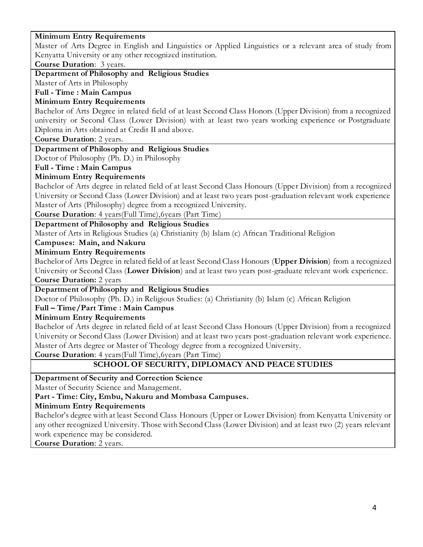### **Minimum Entry Requirements**

Master of Arts Degree in English and Linguistics or Applied Linguistics or a relevant area of study from Kenyatta University or any other recognized institution.

**Course Duration**: 3 years.

**Department of Philosophy and Religious Studies**

Master of Arts in Philosophy

**Full - Time : Main Campus**

### **Minimum Entry Requirements**

Bachelor of Arts Degree in related field of at least Second Class Honors (Upper Division) from a recognized university or Second Class (Lower Division) with at least two years working experience or Postgraduate Diploma in Arts obtained at Credit II and above.

**Course Duration**: 2 years.

#### **Department of Philosophy and Religious Studies**

Doctor of Philosophy (Ph. D.) in Philosophy

**Full - Time : Main Campus** 

### **Minimum Entry Requirements**

Bachelor of Arts degree in related field of at least Second Class Honours (Upper Division) from a recognized University or Second Class (Lower Division) and at least two years post-graduation relevant work experience Master of Arts (Philosophy) degree from a recognized University.

**Course Duration**: 4 years(Full Time),6years (Part Time)

### **Department of Philosophy and Religious Studies**

Master of Arts in Religious Studies (a) Christianity (b) Islam (c) African Traditional Religion

#### **Campuses: Main, and Nakuru**

#### **Minimum Entry Requirements**

Bachelor of Arts Degree in related field of at least Second Class Honours (**Upper Division**) from a recognized University or Second Class (**Lower Division**) and at least two years post-graduate relevant work experience. **Course Duration:** 2 years

# **Department of Philosophy and Religious Studies**

Doctor of Philosophy (Ph. D.) in Religious Studies: (a) Christianity (b) Islam (c) African Religion

#### **Full – Time/Part Time : Main Campus**

**Minimum Entry Requirements**

Bachelor of Arts degree in related field of at least Second Class Honours (Upper Division) from a recognized University or Second Class (Lower Division) and at least two years post-graduation relevant work experience. Master of Arts degree or Master of Theology degree from a recognized University.

**Course Duration**: 4 years(Full Time),6years (Part Time)

# **SCHOOL OF SECURITY, DIPLOMACY AND PEACE STUDIES**

**Department of Security and Correction Science**

Master of Security Science and Management.

**Part - Time: City, Embu, Nakuru and Mombasa Campuses.**

### **Minimum Entry Requirements**

Bachelor's degree with at least Second Class Honours (Upper or Lower Division) from Kenyatta University or any other recognized University. Those with Second Class (Lower Division) and at least two (2) years relevant work experience may be considered.

**Course Duration**: 2 years.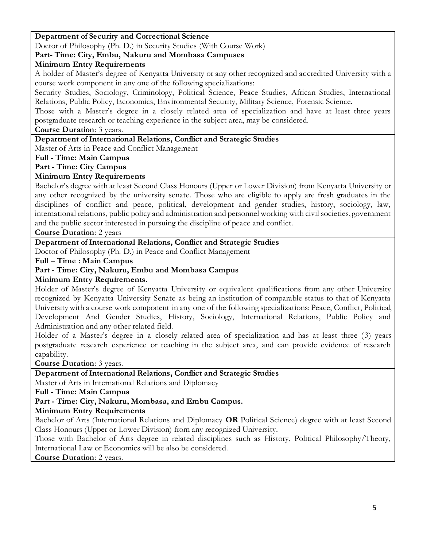### **Department of Security and Correctional Science**

Doctor of Philosophy (Ph. D.) in Security Studies (With Course Work)

### **Part- Time: City, Embu, Nakuru and Mombasa Campuses**

### **Minimum Entry Requirements**

A holder of Master's degree of Kenyatta University or any other recognized and accredited University with a course work component in any one of the following specializations:

Security Studies, Sociology, Criminology, Political Science, Peace Studies, African Studies, International Relations, Public Policy, Economics, Environmental Security, Military Science, Forensic Science.

Those with a Master's degree in a closely related area of specialization and have at least three years postgraduate research or teaching experience in the subject area, may be considered.

### **Course Duration**: 3 years.

### **Department of International Relations, Conflict and Strategic Studies**

Master of Arts in Peace and Conflict Management

### **Full - Time: Main Campus**

### **Part - Time: City Campus**

### **Minimum Entry Requirements**

Bachelor's degree with at least Second Class Honours (Upper or Lower Division) from Kenyatta University or any other recognized by the university senate. Those who are eligible to apply are fresh graduates in the disciplines of conflict and peace, political, development and gender studies, history, sociology, law, international relations, public policy and administration and personnel working with civil societies, government and the public sector interested in pursuing the discipline of peace and conflict.

**Course Duration**: 2 years

### **Department of International Relations, Conflict and Strategic Studies**

Doctor of Philosophy (Ph. D.) in Peace and Conflict Management

**Full – Time : Main Campus**

### **Part - Time: City, Nakuru, Embu and Mombasa Campus**

**Minimum Entry Requirements**.

Holder of Master's degree of Kenyatta University or equivalent qualifications from any other University recognized by Kenyatta University Senate as being an institution of comparable status to that of Kenyatta University with a course work component in any one of the following specializations: Peace, Conflict, Political, Development And Gender Studies, History, Sociology, International Relations, Public Policy and Administration and any other related field.

Holder of a Master's degree in a closely related area of specialization and has at least three (3) years postgraduate research experience or teaching in the subject area, and can provide evidence of research capability.

**Course Duration**: 3 years.

### **Department of International Relations, Conflict and Strategic Studies**

Master of Arts in International Relations and Diplomacy

### **Full - Time: Main Campus**

# **Part - Time: City, Nakuru, Mombasa, and Embu Campus.**

### **Minimum Entry Requirements**

Bachelor of Arts (International Relations and Diplomacy **OR** Political Science) degree with at least Second Class Honours (Upper or Lower Division) from any recognized University.

Those with Bachelor of Arts degree in related disciplines such as History, Political Philosophy/Theory, International Law or Economics will be also be considered.

**Course Duration**: 2 years.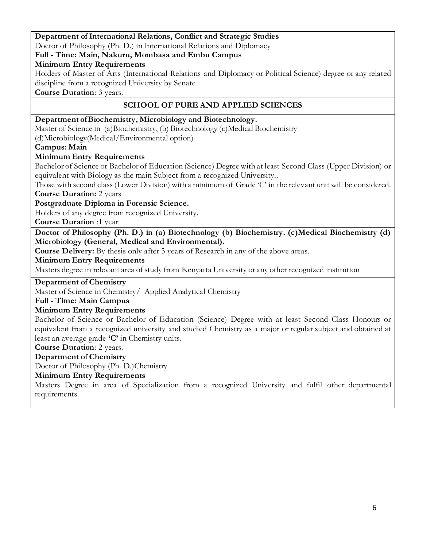**Department of International Relations, Conflict and Strategic Studies** Doctor of Philosophy (Ph. D.) in International Relations and Diplomacy

### **Full - Time: Main, Nakuru, Mombasa and Embu Campus**

**Minimum Entry Requirements**

Holders of Master of Arts (International Relations and Diplomacy or Political Science) degree or any related discipline from a recognized University by Senate

**Course Duration**: 3 years.

### **SCHOOL OF PURE AND APPLIED SCIENCES**

### **Department of Biochemistry, Microbiology and Biotechnology.**

Master of Science in (a)Biochemistry, (b) Biotechnology (c)Medical Biochemistry (d)Microbiology(Medical/Environmental option)

**Campus: Main** 

### **Minimum Entry Requirements**

Bachelor of Science or Bachelor of Education (Science) Degree with at least Second Class (Upper Division) or equivalent with Biology as the main Subject from a recognized University..

Those with second class (Lower Division) with a minimum of Grade 'C' in the relevant unit will be considered. **Course Duration:** 2 years

**Postgraduate Diploma in Forensic Science.**

Holders of any degree from recognized University.

**Course Duration** :1 year

**Doctor of Philosophy (Ph. D.) in (a) Biotechnology (b) Biochemistry. (c)Medical Biochemistry (d) Microbiology (General, Medical and Environmental).**

**Course Delivery:** By thesis only after 3 years of Research in any of the above areas.

#### **Minimum Entry Requirements**

Masters degree in relevant area of study from Kenyatta University or any other recognized institution

**Department of Chemistry**

Master of Science in Chemistry/ Applied Analytical Chemistry

#### **Full - Time: Main Campus**

#### **Minimum Entry Requirements**

Bachelor of Science or Bachelor of Education (Science) Degree with at least Second Class Honours or equivalent from a recognized university and studied Chemistry as a major or regular subject and obtained at least an average grade **'C'** in Chemistry units.

**Course Duration**: 2 years.

### **Department of Chemistry**

Doctor of Philosophy (Ph. D.)Chemistry

### **Minimum Entry Requirements**

Masters Degree in area of Specialization from a recognized University and fulfil other departmental requirements.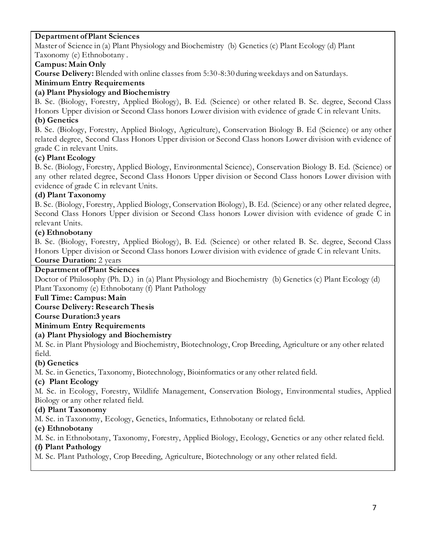### **Department of Plant Sciences**

Master of Science in (a) Plant Physiology and Biochemistry (b) Genetics (c) Plant Ecology (d) Plant Taxonomy (e) Ethnobotany .

### **Campus: Main Only**

**Course Delivery:** Blended with online classes from 5:30-8:30 during weekdays and on Saturdays.

# **Minimum Entry Requirements**

### **(a) Plant Physiology and Biochemistry**

B. Sc. (Biology, Forestry, Applied Biology), B. Ed. (Science) or other related B. Sc. degree, Second Class Honors Upper division or Second Class honors Lower division with evidence of grade C in relevant Units.

### **(b) Genetics**

B. Sc. (Biology, Forestry, Applied Biology, Agriculture), Conservation Biology B. Ed (Science) or any other related degree, Second Class Honors Upper division or Second Class honors Lower division with evidence of grade C in relevant Units.

# **(c) Plant Ecology**

B. Sc. (Biology, Forestry, Applied Biology, Environmental Science), Conservation Biology B. Ed. (Science) or any other related degree, Second Class Honors Upper division or Second Class honors Lower division with evidence of grade C in relevant Units.

# **(d) Plant Taxonomy**

B. Sc. (Biology, Forestry, Applied Biology, Conservation Biology), B. Ed. (Science) or any other related degree, Second Class Honors Upper division or Second Class honors Lower division with evidence of grade C in relevant Units.

### **(e) Ethnobotany**

B. Sc. (Biology, Forestry, Applied Biology), B. Ed. (Science) or other related B. Sc. degree, Second Class Honors Upper division or Second Class honors Lower division with evidence of grade C in relevant Units.

### **Course Duration:** 2 years

### **Department of Plant Sciences**

Doctor of Philosophy (Ph. D.) in (a) Plant Physiology and Biochemistry (b) Genetics (c) Plant Ecology (d) Plant Taxonomy (e) Ethnobotany (f) Plant Pathology

### **Full Time: Campus: Main**

### **Course Delivery: Research Thesis**

**Course Duration:3 years**

# **Minimum Entry Requirements**

### **(a) Plant Physiology and Biochemistry**

M. Sc. in Plant Physiology and Biochemistry, Biotechnology, Crop Breeding, Agriculture or any other related field.

### **(b) Genetics**

M. Sc. in Genetics, Taxonomy, Biotechnology, Bioinformatics or any other related field.

# **(c) Plant Ecology**

M. Sc. in Ecology, Forestry, Wildlife Management, Conservation Biology, Environmental studies, Applied Biology or any other related field.

# **(d) Plant Taxonomy**

M. Sc. in Taxonomy, Ecology, Genetics, Informatics, Ethnobotany or related field.

# **(e) Ethnobotany**

M. Sc. in Ethnobotany, Taxonomy, Forestry, Applied Biology, Ecology, Genetics or any other related field.

### **(f) Plant Pathology**

M. Sc. Plant Pathology, Crop Breeding, Agriculture, Biotechnology or any other related field.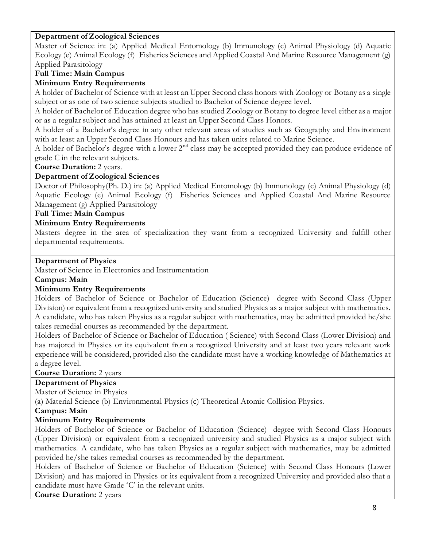### **Department of Zoological Sciences**

Master of Science in: (a) Applied Medical Entomology (b) Immunology (c) Animal Physiology (d) Aquatic Ecology (e) Animal Ecology (f) Fisheries Sciences and Applied Coastal And Marine Resource Management (g) Applied Parasitology

### **Full Time: Main Campus**

### **Minimum Entry Requirements**

a. A holder of Bachelor of Science with at least an Upper Second class honors with Zoology or Botany as a single subject or as one of two science subjects studied to Bachelor of Science degree level.

b. A holder of Bachelor of Education degree who has studied Zoology or Botany to degree level either as a major or as a regular subject and has attained at least an Upper Second Class Honors.

A holder of a Bachelor's degree in any other relevant areas of studies such as Geography and Environment with at least an Upper Second Class Honours and has taken units related to Marine Science.

A holder of Bachelor's degree with a lower  $2<sup>nd</sup>$  class may be accepted provided they can produce evidence of grade C in the relevant subjects.

**Course Duration:** 2 years.

### **Department of Zoological Sciences**

Doctor of Philosophy(Ph. D.) in: (a) Applied Medical Entomology (b) Immunology (c) Animal Physiology (d) Aquatic Ecology (e) Animal Ecology (f) Fisheries Sciences and Applied Coastal And Marine Resource Management (g) Applied Parasitology

### **Full Time: Main Campus**

### **Minimum Entry Requirements**

Masters degree in the area of specialization they want from a recognized University and fulfill other departmental requirements.

### **Department of Physics**

Master of Science in Electronics and Instrumentation

#### **Campus: Main**

### **Minimum Entry Requirements**

Holders of Bachelor of Science or Bachelor of Education (Science) degree with Second Class (Upper Division) or equivalent from a recognized university and studied Physics as a major subject with mathematics. A candidate, who has taken Physics as a regular subject with mathematics, may be admitted provided he/she takes remedial courses as recommended by the department.

Holders of Bachelor of Science or Bachelor of Education ( Science) with Second Class (Lower Division) and has majored in Physics or its equivalent from a recognized University and at least two years relevant work experience will be considered, provided also the candidate must have a working knowledge of Mathematics at a degree level.

#### **Course Duration:** 2 years

#### **Department of Physics**

Master of Science in Physics

(a) Material Science (b) Environmental Physics (c) Theoretical Atomic Collision Physics.

#### **Campus: Main**

### **Minimum Entry Requirements**

Holders of Bachelor of Science or Bachelor of Education (Science) degree with Second Class Honours (Upper Division) or equivalent from a recognized university and studied Physics as a major subject with mathematics. A candidate, who has taken Physics as a regular subject with mathematics, may be admitted provided he/she takes remedial courses as recommended by the department.

Holders of Bachelor of Science or Bachelor of Education (Science) with Second Class Honours (Lower Division) and has majored in Physics or its equivalent from a recognized University and provided also that a candidate must have Grade 'C' in the relevant units.

**Course Duration:** 2 years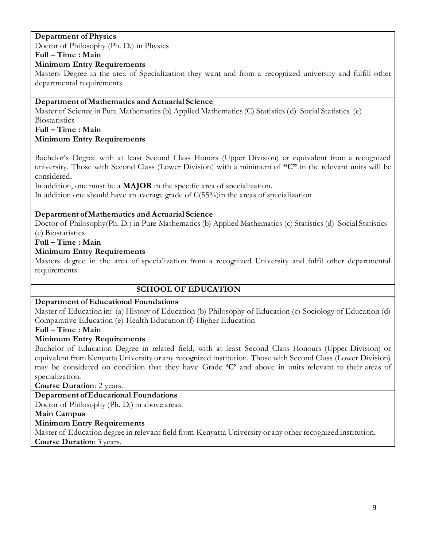# **Department of Physics**

Doctor of Philosophy (Ph. D.) in Physics

# **Full – Time : Main**

### **Minimum Entry Requirements**

Masters Degree in the area of Specialization they want and from a recognized university and fulfill other departmental requirements.

### **Department of Mathematics and Actuarial Science**

Master of Science in Pure Mathematics (b) Applied Mathematics (C) Statistics (d) Social Statistics (e) **Biostatistics** 

#### **Full – Time : Main Minimum Entry Requirements**

Bachelor's Degree with at least Second Class Honors (Upper Division) or equivalent from a recognized university. Those with Second Class (Lower Division) with a minimum of **"C"** in the relevant units will be considered**.**

In addition, one must be a **MAJOR** in the specific area of specialization.

In addition one should have an average grade of  $C(55%)$  in the areas of specialization

### **Department of Mathematics and Actuarial Science**

Doctor of Philosophy(Ph. D.) in Pure Mathematics (b) Applied Mathematics (c) Statistics (d) Social Statistics (e) Biostatistics

### **Full – Time : Main**

### **Minimum Entry Requirements**

Masters degree in the area of specialization from a recognized University and fulfil other departmental requirements.

### **SCHOOL OF EDUCATION**

#### **Department of Educational Foundations**

Master of Education in: (a) History of Education (b) Philosophy of Education (c) Sociology of Education (d) Comparative Education (e) Health Education (f) Higher Education

### **Full – Time : Main**

### **Minimum Entry Requirements**

Bachelor of Education Degree in related field, with at least Second Class Honours (Upper Division) or equivalent from Kenyatta University or any recognized institution. Those with Second Class (Lower Division) may be considered on condition that they have Grade **'C'** and above in units relevant to their areas of specialization.

**Course Duration**: 2 years.

### **Department of Educational Foundations**

Doctor of Philosophy (Ph. D.) in above areas.

**Main Campus**

### **Minimum Entry Requirements**

Master of Education degree in relevant field from Kenyatta University or any other recognized institution. **Course Duration**: 3 years.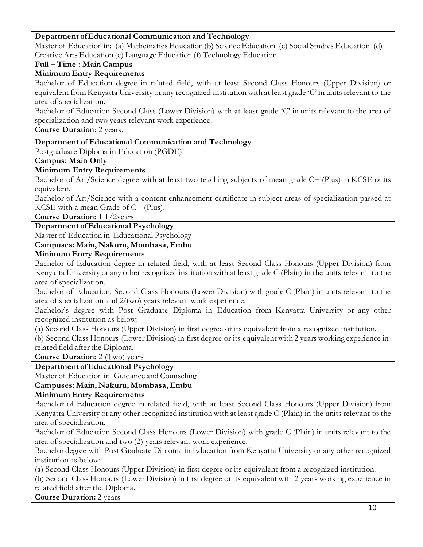### **Department of Educational Communication and Technology**

Master of Education in: (a) Mathematics Education (b) Science Education (c) Social Studies Educ ation (d) Creative Arts Education (e) Language Education (f) Technology Education

### **Full – Time : Main Campus**

### **Minimum Entry Requirements**

Bachelor of Education degree in related field, with at least Second Class Honours (Upper Division) or equivalent from Kenyatta University or any recognized institution with at least grade 'C' in units relevant to the area of specialization.

Bachelor of Education Second Class (Lower Division) with at least grade 'C' in units relevant to the area of specialization and two years relevant work experience.

**Course Duration**: 2 years.

### **Department of Educational Communication and Technology**

Postgraduate Diploma in Education (PGDE)

**Campus: Main Only**

### **Minimum Entry Requirements**

Bachelor of Art/Science degree with at least two teaching subjects of mean grade C+ (Plus) in KCSE or its equivalent.

Bachelor of Art/Science with a content enhancement certificate in subject areas of specialization passed at KCSE with a mean Grade of C+ (Plus).

**Course Duration:** 1 1/2years

# **Department of Educational Psychology**

Master of Education in Educational Psychology

### **Campuses: Main, Nakuru, Mombasa, Embu**

### **Minimum Entry Requirements**

Bachelor of Education degree in related field, with at least Second Class Honours (Upper Division) from Kenyatta University or any other recognized institution with at least grade C (Plain) in the units relevant to the area of specialization.

Bachelor of Education, Second Class Honours (Lower Division) with grade C (Plain) in units relevant to the area of specialization and 2(two) years relevant work experience.

Bachelor's degree with Post Graduate Diploma in Education from Kenyatta University or any other recognized institution as below:

(a) Second Class Honours (Upper Division) in first degree or its equivalent from a recognized institution.

(b) Second Class Honours (Lower Division) in first degree or its equivalent with 2 years working experience in related field after the Diploma.

**Course Duration:** 2 (Two) years

**Department of Educational Psychology**

Master of Education in Guidance and Counseling

### **Campuses: Main, Nakuru, Mombasa, Embu**

### **Minimum Entry Requirements**

Bachelor of Education degree in related field, with at least Second Class Honours (Upper Division) from Kenyatta University or any other recognized institution with at least grade C (Plain) in the units relevant to the area of specialization.

Bachelor of Education Second Class Honours (Lower Division) with grade C (Plain) in units relevant to the area of specialization and two (2) years relevant work experience.

Bachelor degree with Post Graduate Diploma in Education from Kenyatta University or any other recognized institution as below:

(a) Second Class Honours (Upper Division) in first degree or its equivalent from a recognized institution.

(b) Second Class Honours (Lower Division) in first degree or its equivalent with 2 years working experience in related field after the Diploma.

**Course Duration:** 2 years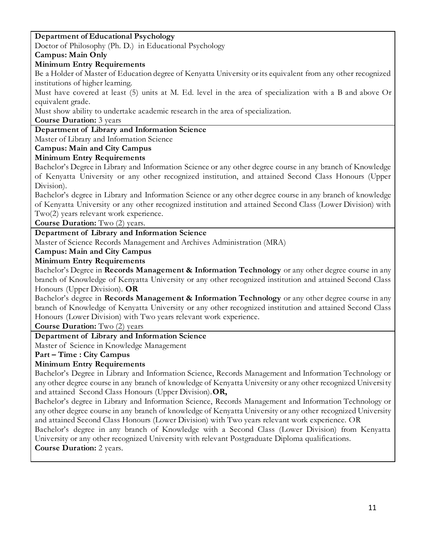### **Department of Educational Psychology**

Doctor of Philosophy (Ph. D.) in Educational Psychology

### **Campus: Main Only**

### **Minimum Entry Requirements**

Be a Holder of Master of Education degree of Kenyatta University or its equivalent from any other recognized institutions of higher learning.

Must have covered at least (5) units at M. Ed. level in the area of specialization with a B and above Or equivalent grade.

Must show ability to undertake academic research in the area of specialization.

### **Course Duration:** 3 years

### **Department of Library and Information Science**

Master of Library and Information Science

### **Campus: Main and City Campus**

### **Minimum Entry Requirements**

Bachelor's Degree in Library and Information Science or any other degree course in any branch of Knowledge of Kenyatta University or any other recognized institution, and attained Second Class Honours (Upper Division).

Bachelor's degree in Library and Information Science or any other degree course in any branch of knowledge of Kenyatta University or any other recognized institution and attained Second Class (Lower Division) with Two(2) years relevant work experience.

**Course Duration:** Two (2) years.

### **Department of Library and Information Science**

Master of Science Records Management and Archives Administration (MRA)

### **Campus: Main and City Campus**

### **Minimum Entry Requirements**

Bachelor's Degree in **Records Management & Information Technology** or any other degree course in any branch of Knowledge of Kenyatta University or any other recognized institution and attained Second Class Honours (Upper Division). **OR** 

Bachelor's degree in **Records Management & Information Technology** or any other degree course in any branch of Knowledge of Kenyatta University or any other recognized institution and attained Second Class Honours (Lower Division) with Two years relevant work experience.

**Course Duration:** Two (2) years

### **Department of Library and Information Science**

Master of Science in Knowledge Management

#### **Part – Time : City Campus**

### **Minimum Entry Requirements**

Bachelor's Degree in Library and Information Science, Records Management and Information Technology or any other degree course in any branch of knowledge of Kenyatta University or any other recognized University and attained Second Class Honours (Upper Division).**OR,**

Bachelor's degree in Library and Information Science, Records Management and Information Technology or any other degree course in any branch of knowledge of Kenyatta University or any other recognized University and attained Second Class Honours (Lower Division) with Two years relevant work experience. OR

Bachelor's degree in any branch of Knowledge with a Second Class (Lower Division) from Kenyatta University or any other recognized University with relevant Postgraduate Diploma qualifications.

**Course Duration:** 2 years.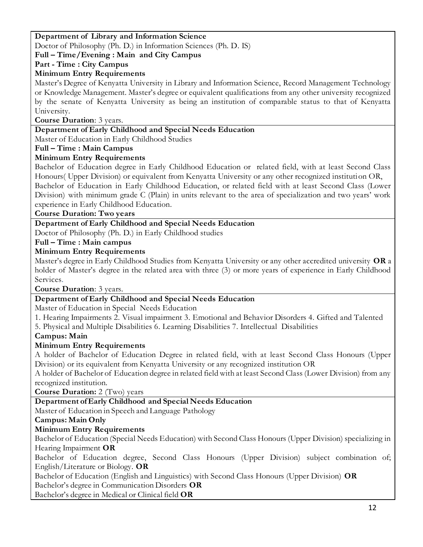### **Department of Library and Information Science**

Doctor of Philosophy (Ph. D.) in Information Sciences (Ph. D. IS)

### **Full – Time/Evening : Main and City Campus**

### **Part - Time : City Campus**

### **Minimum Entry Requirements**

Master's Degree of Kenyatta University in Library and Information Science, Record Management Technology or Knowledge Management. Master's degree or equivalent qualifications from any other university recognized by the senate of Kenyatta University as being an institution of comparable status to that of Kenyatta University.

### **Course Duration**: 3 years.

### **Department of Early Childhood and Special Needs Education**

Master of Education in Early Childhood Studies

### **Full – Time : Main Campus**

### **Minimum Entry Requirements**

Bachelor of Education degree in Early Childhood Education or related field, with at least Second Class Honours( Upper Division) or equivalent from Kenyatta University or any other recognized institution OR, Bachelor of Education in Early Childhood Education, or related field with at least Second Class (Lower Division) with minimum grade C (Plain) in units relevant to the area of specialization and two years' work experience in Early Childhood Education.

#### **Course Duration: Two years**

### **Department of Early Childhood and Special Needs Education**

Doctor of Philosophy (Ph. D.) in Early Childhood studies

### **Full – Time : Main campus**

### **Minimum Entry Requirements**

Master's degree in Early Childhood Studies from Kenyatta University or any other accredited university **OR** a holder of Master's degree in the related area with three (3) or more years of experience in Early Childhood Services.

#### **Course Duration**: 3 years.

### **Department of Early Childhood and Special Needs Education**

Master of Education in Special Needs Education

1. Hearing Impairments 2. Visual impairment 3. Emotional and Behavior Disorders 4. Gifted and Talented

# 5. Physical and Multiple Disabilities 6. Learning Disabilities 7. Intellectual Disabilities

### **Campus: Main**

### **Minimum Entry Requirements**

A holder of Bachelor of Education Degree in related field, with at least Second Class Honours (Upper Division) or its equivalent from Kenyatta University or any recognized institution OR

A holder of Bachelor of Education degree in related field with at least Second Class (Lower Division) from any recognized institution.

**Course Duration:** 2 (Two) years

# **Department of Early Childhood and Special Needs Education**

Master of Education in Speech and Language Pathology

### **Campus: Main Only**

### **Minimum Entry Requirements**

Bachelor of Education (Special Needs Education) with Second Class Honours (Upper Division) specializing in Hearing Impairment **OR**

Bachelor of Education degree, Second Class Honours (Upper Division) subject combination of; English/Literature or Biology. **OR**

Bachelor of Education (English and Linguistics) with Second Class Honours (Upper Division) **OR** Bachelor's degree in Communication Disorders **OR**

Bachelor's degree in Medical or Clinical field **OR**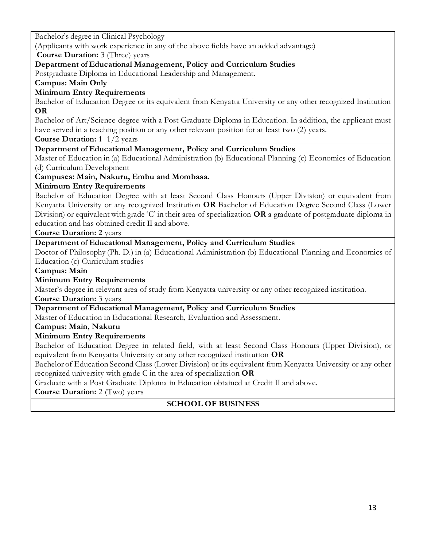Bachelor's degree in Clinical Psychology

(Applicants with work experience in any of the above fields have an added advantage)

**Course Duration:** 3 (Three) years

### **Department of Educational Management, Policy and Curriculum Studies**

Postgraduate Diploma in Educational Leadership and Management.

# **Campus: Main Only**

# **Minimum Entry Requirements**

Bachelor of Education Degree or its equivalent from Kenyatta University or any other recognized Institution **OR**

Bachelor of Art/Science degree with a Post Graduate Diploma in Education. In addition, the applicant must have served in a teaching position or any other relevant position for at least two (2) years.

**Course Duration:** 1 1/2 years

# **Department of Educational Management, Policy and Curriculum Studies**

Master of Education in (a) Educational Administration (b) Educational Planning (c) Economics of Education (d) Curriculum Development

**Campuses: Main, Nakuru, Embu and Mombasa.**

# **Minimum Entry Requirements**

Bachelor of Education Degree with at least Second Class Honours (Upper Division) or equivalent from Kenyatta University or any recognized Institution **OR** Bachelor of Education Degree Second Class (Lower Division) or equivalent with grade 'C' in their area of specialization **OR** a graduate of postgraduate diploma in education and has obtained credit II and above.

# **Course Duration: 2** years

# **Department of Educational Management, Policy and Curriculum Studies**

Doctor of Philosophy (Ph. D.) in (a) Educational Administration (b) Educational Planning and Economics of Education (c) Curriculum studies

### **Campus: Main**

# **Minimum Entry Requirements**

Master's degree in relevant area of study from Kenyatta university or any other recognized institution.

**Course Duration:** 3 years

# **Department of Educational Management, Policy and Curriculum Studies**

Master of Education in Educational Research, Evaluation and Assessment.

# **Campus: Main, Nakuru**

# **Minimum Entry Requirements**

Bachelor of Education Degree in related field, with at least Second Class Honours (Upper Division), or equivalent from Kenyatta University or any other recognized institution **OR**

Bachelor of Education Second Class (Lower Division) or its equivalent from Kenyatta University or any other recognized university with grade C in the area of specialization **OR**

Graduate with a Post Graduate Diploma in Education obtained at Credit II and above.

**Course Duration:** 2 (Two) years

# **SCHOOL OF BUSINESS**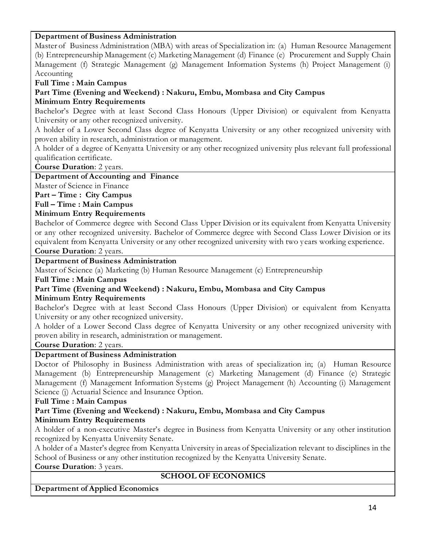### **Department of Business Administration**

Master of Business Administration (MBA) with areas of Specialization in: (a) Human Resource Management (b) Entrepreneurship Management (c) Marketing Management (d) Finance (e) Procurement and Supply Chain Management (f) Strategic Management (g) Management Information Systems (h) Project Management (i) Accounting

**Full Time : Main Campus**

**Part Time (Evening and Weekend) : Nakuru, Embu, Mombasa and City Campus**

### **Minimum Entry Requirements**

Bachelor's Degree with at least Second Class Honours (Upper Division) or equivalent from Kenyatta University or any other recognized university.

A holder of a Lower Second Class degree of Kenyatta University or any other recognized university with proven ability in research, administration or management.

A holder of a degree of Kenyatta University or any other recognized university plus relevant full professional qualification certificate.

**Course Duration**: 2 years.

### **Department of Accounting and Finance**

Master of Science in Finance

**Part – Time : City Campus**

**Full – Time : Main Campus**

### **Minimum Entry Requirements**

Bachelor of Commerce degree with Second Class Upper Division or its equivalent from Kenyatta University or any other recognized university. Bachelor of Commerce degree with Second Class Lower Division or its equivalent from Kenyatta University or any other recognized university with two years working experience.

**Course Duration**: 2 years.

### **Department of Business Administration**

Master of Science (a) Marketing (b) Human Resource Management (c) Entrepreneurship

**Full Time : Main Campus**

**Part Time (Evening and Weekend) : Nakuru, Embu, Mombasa and City Campus**

### **Minimum Entry Requirements**

Bachelor's Degree with at least Second Class Honours (Upper Division) or equivalent from Kenyatta University or any other recognized university.

A holder of a Lower Second Class degree of Kenyatta University or any other recognized university with proven ability in research, administration or management.

**Course Duration**: 2 years.

### **Department of Business Administration**

Doctor of Philosophy in Business Administration with areas of specialization in; (a) Human Resource Management (b) Entrepreneurship Management (c) Marketing Management (d) Finance (e) Strategic Management (f) Management Information Systems (g) Project Management (h) Accounting (i) Management Science (j) Actuarial Science and Insurance Option.

#### **Full Time : Main Campus**

### **Part Time (Evening and Weekend) : Nakuru, Embu, Mombasa and City Campus Minimum Entry Requirements**

A holder of a non-executive Master's degree in Business from Kenyatta University or any other institution recognized by Kenyatta University Senate.

A holder of a Master's degree from Kenyatta University in areas of Specialization relevant to disciplines in the School of Business or any other institution recognized by the Kenyatta University Senate.

**Course Duration**: 3 years.

### **SCHOOL OF ECONOMICS**

**Department of Applied Economics**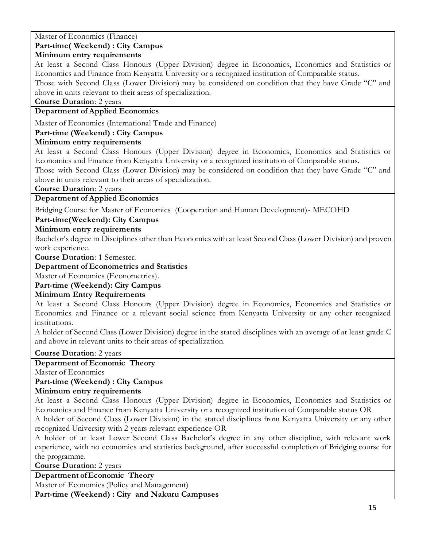### Master of Economics (Finance) **Part-time( Weekend) : City Campus**

### **Minimum entry requirements**

At least a Second Class Honours (Upper Division) degree in Economics, Economics and Statistics or Economics and Finance from Kenyatta University or a recognized institution of Comparable status.

Those with Second Class (Lower Division) may be considered on condition that they have Grade "C" and above in units relevant to their areas of specialization.

### **Course Duration**: 2 years

# **Department of Applied Economics**

Master of Economics (International Trade and Finance)

### **Part-time (Weekend) : City Campus**

### **Minimum entry requirements**

At least a Second Class Honours (Upper Division) degree in Economics, Economics and Statistics or Economics and Finance from Kenyatta University or a recognized institution of Comparable status.

Those with Second Class (Lower Division) may be considered on condition that they have Grade "C" and above in units relevant to their areas of specialization.

**Course Duration**: 2 years

### **Department of Applied Economics**

Bridging Course for Master of Economics (Cooperation and Human Development)- MECOHD

### **Part-time(Weekend): City Campus**

### **Minimum entry requirements**

Bachelor's degree in Disciplines other than Economics with at least Second Class (Lower Division) and proven work experience.

**Course Duration**: 1 Semester.

### **Department of Econometrics and Statistics**

Master of Economics (Econometrics).

# **Part-time (Weekend): City Campus**

### **Minimum Entry Requirements**

At least a Second Class Honours (Upper Division) degree in Economics, Economics and Statistics or Economics and Finance or a relevant social science from Kenyatta University or any other recognized institutions.

A holder of Second Class (Lower Division) degree in the stated disciplines with an average of at least grade C and above in relevant units to their areas of specialization.

**Course Duration**: 2 years

# **Department of Economic Theory**

Master of Economics

# **Part-time (Weekend) : City Campus**

### **Minimum entry requirements**

At least a Second Class Honours (Upper Division) degree in Economics, Economics and Statistics or Economics and Finance from Kenyatta University or a recognized institution of Comparable status OR

A holder of Second Class (Lower Division) in the stated disciplines from Kenyatta University or any other recognized University with 2 years relevant experience OR

A holder of at least Lower Second Class Bachelor's degree in any other discipline, with relevant work experience, with no economics and statistics background, after successful completion of Bridging course for the programme.

**Course Duration:** 2 years

# **Department of Economic Theory**

Master of Economics (Policy and Management)

**Part-time (Weekend) : City and Nakuru Campuses**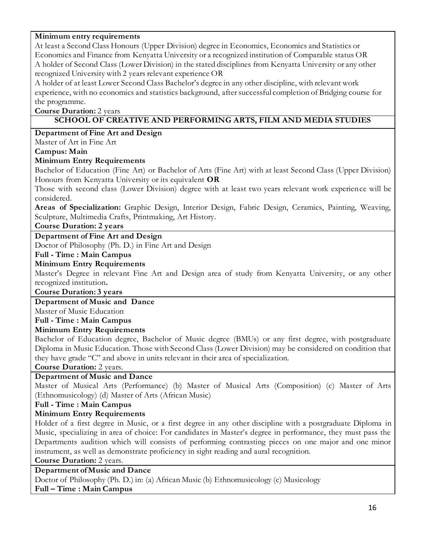### **Minimum entry requirements**

At least a Second Class Honours (Upper Division) degree in Economics, Economics and Statistics or Economics and Finance from Kenyatta University or a recognized institution of Comparable status OR A holder of Second Class (Lower Division) in the stated disciplines from Kenyatta University or any other recognized University with 2 years relevant experience OR

A holder of at least Lower Second Class Bachelor's degree in any other discipline, with relevant work experience, with no economics and statistics background, after successful completion of Bridging course for the programme.

**Course Duration:** 2 years

### **SCHOOL OF CREATIVE AND PERFORMING ARTS, FILM AND MEDIA STUDIES**

### **Department of Fine Art and Design**

Master of Art in Fine Art

### **Campus: Main**

### **Minimum Entry Requirements**

Bachelor of Education (Fine Art) or Bachelor of Arts (Fine Art) with at least Second Class (Upper Division) Honours from Kenyatta University or its equivalent **OR**

Those with second class (Lower Division) degree with at least two years relevant work experience will be considered.

**Areas of Specialization:** Graphic Design, Interior Design, Fabric Design, Ceramics, Painting, Weaving, Sculpture, Multimedia Crafts, Printmaking, Art History.

### **Course Duration: 2 years**

# **Department of Fine Art and Design**

Doctor of Philosophy (Ph. D.) in Fine Art and Design

# **Full - Time : Main Campus**

#### **Minimum Entry Requirements**

Master's Degree in relevant Fine Art and Design area of study from Kenyatta University, or any other recognized institution**.**

#### **Course Duration: 3 years**

#### **Department of Music and Dance**

Master of Music Education

### **Full - Time : Main Campus**

#### **Minimum Entry Requirements**

Bachelor of Education degree, Bachelor of Music degree (BMUs) or any first degree, with postgraduate Diploma in Music Education. Those with Second Class (Lower Division) may be considered on condition that they have grade "C" and above in units relevant in their area of specialization.

**Course Duration:** 2 years.

### **Department of Music and Dance**

Master of Musical Arts (Performance) (b) Master of Musical Arts (Composition) (c) Master of Arts (Ethnomusicology) (d) Master of Arts (African Music)

### **Full - Time : Main Campus**

### **Minimum Entry Requirements**

Holder of a first degree in Music, or a first degree in any other discipline with a postgraduate Diploma in Music, specializing in area of choice: For candidates in Master's degree in performance, they must pass the Departments audition which will consists of performing contrasting pieces on one major and one minor instrument, as well as demonstrate proficiency in sight reading and aural recognition.

**Course Duration:** 2 years.

#### **Department of Music and Dance**

Doctor of Philosophy (Ph. D.) in: (a) African Music (b) Ethnomusicology (c) Musicology **Full – Time : Main Campus**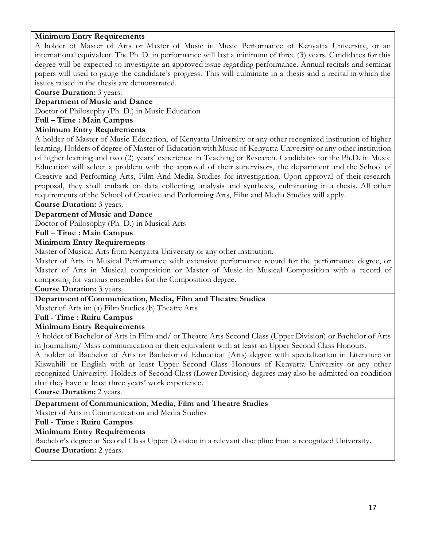### **Minimum Entry Requirements**

A holder of Master of Arts or Master of Music in Music Performance of Kenyatta University, or an international equivalent. The Ph. D. in performance will last a minimum of three (3) years. Candidates for this degree will be expected to investigate an approved issue regarding performance. Annual recitals and seminar papers will used to gauge the candidate's progress. This will culminate in a thesis and a recital in which the issues raised in the thesis are demonstrated.

**Course Duration:** 3 years.

# **Department of Music and Dance**

Doctor of Philosophy (Ph. D.) in Music Education

### **Full – Time : Main Campus**

### **Minimum Entry Requirements**

A holder of Master of Music Education, of Kenyatta University or any other recognized institution of higher learning. Holders of degree of Master of Education with Music of Kenyatta University or any other institution of higher learning and two (2) years' experience in Teaching or Research. Candidates for the Ph.D. in Music Education will select a problem with the approval of their supervisors, the department and the School of Creative and Performing Arts, Film And Media Studies for investigation. Upon approval of their research proposal, they shall embark on data collecting, analysis and synthesis, culminating in a thesis. All other requirements of the School of Creative and Performing Arts, Film and Media Studies will apply.

**Course Duration:** 3 years.

### **Department of Music and Dance**

Doctor of Philosophy (Ph. D.) in Musical Arts

### **Full – Time : Main Campus**

### **Minimum Entry Requirements**

Master of Musical Arts from Kenyatta University or any other institution.

Master of Arts in Musical Performance with extensive performance record for the performance degree, or Master of Arts in Musical composition or Master of Music in Musical Composition with a record of composing for various ensembles for the Composition degree.

**Course Duration:** 3 years.

### **Department of Communication, Media, Film and Theatre Studies**

Master of Arts in: (a) Film Studies (b) Theatre Arts

### **Full - Time : Ruiru Campus**

### **Minimum Entry Requirements**

A holder of Bachelor of Arts in Film and/ or Theatre Arts Second Class (Upper Division) or Bachelor of Arts in Journalism/ Mass communication or their equivalent with at least an Upper Second Class Honours.

A holder of Bachelor of Arts or Bachelor of Education (Arts) degree with specialization in Literature or Kiswahili or English with at least Upper Second Class Honours of Kenyatta University or any other recognized University. Holders of Second Class (Lower Division) degrees may also be admitted on condition that they have at least three years' work experience.

**Course Duration:** 2 years.

### **Department of Communication, Media, Film and Theatre Studies**

Master of Arts in Communication and Media Studies

### **Full - Time : Ruiru Campus**

#### **Minimum Entry Requirements**

Bachelor's degree at Second Class Upper Division in a relevant discipline from a recognized University. **Course Duration:** 2 years.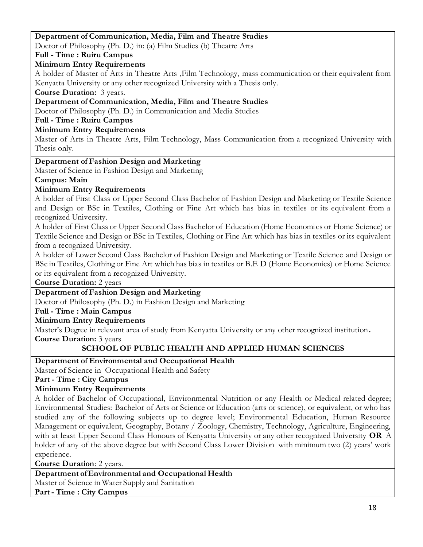### **Department of Communication, Media, Film and Theatre Studies**

Doctor of Philosophy (Ph. D.) in: (a) Film Studies (b) Theatre Arts

**Full - Time : Ruiru Campus**

### **Minimum Entry Requirements**

A holder of Master of Arts in Theatre Arts ,Film Technology, mass communication or their equivalent from Kenyatta University or any other recognized University with a Thesis only.

**Course Duration:** 3 years.

### **Department of Communication, Media, Film and Theatre Studies**

Doctor of Philosophy (Ph. D.) in Communication and Media Studies

**Full - Time : Ruiru Campus**

### **Minimum Entry Requirements**

Master of Arts in Theatre Arts, Film Technology, Mass Communication from a recognized University with Thesis only.

### **Department of Fashion Design and Marketing**

Master of Science in Fashion Design and Marketing

### **Campus: Main**

### **Minimum Entry Requirements**

A holder of First Class or Upper Second Class Bachelor of Fashion Design and Marketing or Textile Science and Design or BSc in Textiles, Clothing or Fine Art which has bias in textiles or its equivalent from a recognized University.

A holder of First Class or Upper Second Class Bachelor of Education (Home Economics or Home Science) or Textile Science and Design or BSc in Textiles, Clothing or Fine Art which has bias in textiles or its equivalent from a recognized University.

A holder of Lower Second Class Bachelor of Fashion Design and Marketing or Textile Science and Design or BSc in Textiles, Clothing or Fine Art which has bias in textiles or B.E D (Home Economics) or Home Science or its equivalent from a recognized University.

**Course Duration:** 2 years

### **Department of Fashion Design and Marketing**

Doctor of Philosophy (Ph. D.) in Fashion Design and Marketing

### **Full - Time : Main Campus**

### **Minimum Entry Requirements**

Master's Degree in relevant area of study from Kenyatta University or any other recognized institution**. Course Duration:** 3 years

### **SCHOOL OF PUBLIC HEALTH AND APPLIED HUMAN SCIENCES**

**Department of Environmental and Occupational Health**

Master of Science in Occupational Health and Safety

### **Part - Time : City Campus**

# **Minimum Entry Requirements**

A holder of Bachelor of Occupational, Environmental Nutrition or any Health or Medical related degree; Environmental Studies: Bachelor of Arts or Science or Education (arts or science), or equivalent, or who has studied any of the following subjects up to degree level; Environmental Education, Human Resource Management or equivalent, Geography, Botany / Zoology, Chemistry, Technology, Agriculture, Engineering, with at least Upper Second Class Honours of Kenyatta University or any other recognized University **OR** A holder of any of the above degree but with Second Class Lower Division with minimum two (2) years' work experience.

**Course Duration**: 2 years.

### **Department of Environmental and Occupational Health**

Master of Science in Water Supply and Sanitation

**Part - Time : City Campus**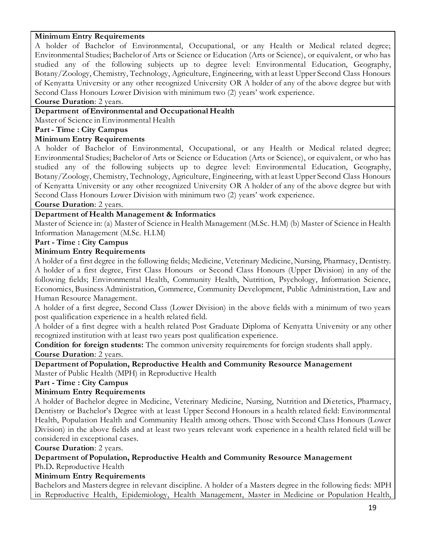### **Minimum Entry Requirements**

A holder of Bachelor of Environmental, Occupational, or any Health or Medical related degree; Environmental Studies; Bachelor of Arts or Science or Education (Arts or Science), or equivalent, or who has studied any of the following subjects up to degree level: Environmental Education, Geography, Botany/Zoology, Chemistry, Technology, Agriculture, Engineering, with at least Upper Second Class Honours of Kenyatta University or any other recognized University OR A holder of any of the above degree but with Second Class Honours Lower Division with minimum two (2) years' work experience.

#### **Course Duration**: 2 years.

# **Department of Environmental and Occupational Health**

Master of Science in Environmental Health

### **Part - Time : City Campus**

### **Minimum Entry Requirements**

A holder of Bachelor of Environmental, Occupational, or any Health or Medical related degree; Environmental Studies; Bachelor of Arts or Science or Education (Arts or Science), or equivalent, or who has studied any of the following subjects up to degree level: Environmental Education, Geography, Botany/Zoology, Chemistry, Technology, Agriculture, Engineering, with at least Upper Second Class Honours of Kenyatta University or any other recognized University OR A holder of any of the above degree but with Second Class Honours Lower Division with minimum two (2) years' work experience.

**Course Duration**: 2 years.

### **Department of Health Management & Informatics**

Master of Science in: (a) Master of Science in Health Management (M.Sc. H.M) (b) Master of Science in Health Information Management (M.Sc. H.I.M)

#### **Part - Time : City Campus**

#### **Minimum Entry Requirements**

i. A holder of a first degree in the following fields; Medicine, Veterinary Medicine, Nursing, Pharmacy, Dentistry. A holder of a first degree, First Class Honours or Second Class Honours (Upper Division) in any of the following fields; Environmental Health, Community Health, Nutrition, Psychology, Information Science, Economics, Business Administration, Commerce, Community Development, Public Administration, Law and Human Resource Management.

A holder of a first degree, Second Class (Lower Division) in the above fields with a minimum of two years post qualification experience in a health related field.

A holder of a first degree with a health related Post Graduate Diploma of Kenyatta University or any other recognized institution with at least two years post qualification experience.

**Condition for foreign students:** The common university requirements for foreign students shall apply. **Course Duration**: 2 years.

**Department of Population, Reproductive Health and Community Resource Management**

Master of Public Health (MPH) in Reproductive Health

**Part - Time : City Campus**

#### **Minimum Entry Requirements**

A holder of Bachelor degree in Medicine, Veterinary Medicine, Nursing, Nutrition and Di etetics, Pharmacy, Dentistry or Bachelor's Degree with at least Upper Second Honours in a health related field: Environmental Health, Population Health and Community Health among others. Those with Second Class Honours (Lower Division) in the above fields and at least two years relevant work experience in a health related field will be considered in exceptional cases.

#### **Course Duration**: 2 years.

**Department of Population, Reproductive Health and Community Resource Management** Ph.D**.** Reproductive Health

#### **Minimum Entry Requirements**

Bachelors and Masters degree in relevant discipline. A holder of a Masters degree in the following fieds: MPH in Reproductive Health, Epidemiology, Health Management, Master in Medicine or Population Health,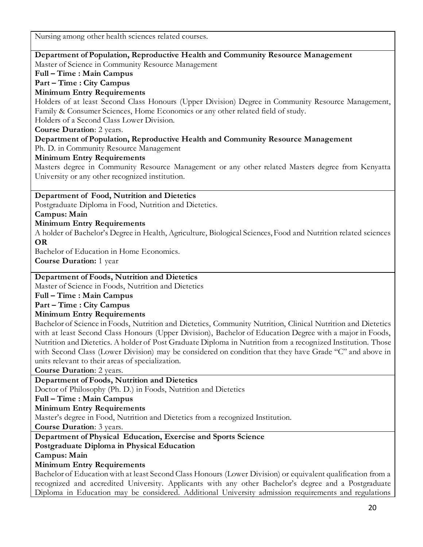Nursing among other health sciences related courses.

### **Department of Population, Reproductive Health and Community Resource Management**

Master of Science in Community Resource Management

# **Full – Time : Main Campus**

### **Part – Time : City Campus**

### **Minimum Entry Requirements**

Holders of at least Second Class Honours (Upper Division) Degree in Community Resource Management, Family & Consumer Sciences, Home Economics or any other related field of study. Holders of a Second Class Lower Division.

# **Course Duration**: 2 years.

### **Department of Population, Reproductive Health and Community Resource Management**

Ph. D. in Community Resource Management

### **Minimum Entry Requirements**

Masters degree in Community Resource Management or any other related Masters degree from Kenyatta University or any other recognized institution.

### **Department of Food, Nutrition and Dietetics**

Postgraduate Diploma in Food, Nutrition and Dietetics.

### **Campus: Main**

### **Minimum Entry Requirements**

A holder of Bachelor's Degree in Health, Agriculture, Biological Sciences, Food and Nutrition related sciences **OR**

Bachelor of Education in Home Economics.

**Course Duration:** 1 year

### **Department of Foods, Nutrition and Dietetics**

Master of Science in Foods, Nutrition and Dietetics

### **Full – Time : Main Campus**

### **Part – Time : City Campus**

### **Minimum Entry Requirements**

Bachelor of Science in Foods, Nutrition and Dietetics, Community Nutrition, Clinical Nutrition and Dietetics with at least Second Class Honours (Upper Division), Bachelor of Education Degree with a major in Foods, Nutrition and Dietetics. A holder of Post Graduate Diploma in Nutrition from a recognized Institution. Those with Second Class (Lower Division) may be considered on condition that they have Grade "C" and above in units relevant to their areas of specialization.

**Course Duration**: 2 years.

# **Department of Foods, Nutrition and Dietetics**

Doctor of Philosophy (Ph. D.) in Foods, Nutrition and Dietetics

**Full – Time : Main Campus**

# **Minimum Entry Requirements**

Master's degree in Food, Nutrition and Dietetics from a recognized Institution.

**Course Duration**: 3 years.

# **Department of Physical Education, Exercise and Sports Science**

# **Postgraduate Diploma in Physical Education**

**Campus: Main** 

# **Minimum Entry Requirements**

Bachelor of Education with at least Second Class Honours (Lower Division) or equivalent qualification from a recognized and accredited University. Applicants with any other Bachelor's degree and a Postgraduate Diploma in Education may be considered. Additional University admission requirements and regulations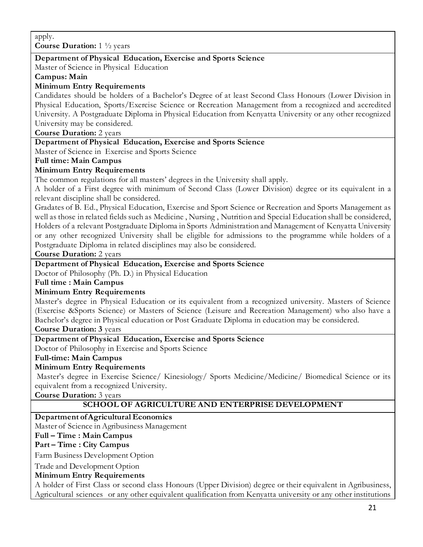### **Department of Physical Education, Exercise and Sports Science**

Master of Science in Physical Education

**Campus: Main** 

### **Minimum Entry Requirements**

Candidates should be holders of a Bachelor's Degree of at least Second Class Honours (Lower Division in Physical Education, Sports/Exercise Science or Recreation Management from a recognized and accredited University. A Postgraduate Diploma in Physical Education from Kenyatta University or any other recognized University may be considered.

**Course Duration:** 2 years

### **Department of Physical Education, Exercise and Sports Science**

Master of Science in Exercise and Sports Science

### **Full time: Main Campus**

### **Minimum Entry Requirements**

The common regulations for all masters' degrees in the University shall apply.

A holder of a First degree with minimum of Second Class (Lower Division) degree or its equivalent in a relevant discipline shall be considered.

Gradates of B. Ed., Physical Education, Exercise and Sport Science or Recreation and Sports Management as well as those in related fields such as Medicine , Nursing , Nutrition and Special Education shall be considered, Holders of a relevant Postgraduate Diploma in Sports Administration and Management of Kenyatta University or any other recognized University shall be eligible for admissions to the programme while holders of a Postgraduate Diploma in related disciplines may also be considered.

**Course Duration:** 2 years

### **Department of Physical Education, Exercise and Sports Science**

Doctor of Philosophy (Ph. D.) in Physical Education

**Full time : Main Campus**

### **Minimum Entry Requirements**

Master's degree in Physical Education or its equivalent from a recognized university. Masters of Science (Exercise &Sports Science) or Masters of Science (Leisure and Recreation Management) who also have a Bachelor's degree in Physical education or Post Graduate Diploma in education may be considered.

**Course Duration: 3** years

#### **Department of Physical Education, Exercise and Sports Science**

Doctor of Philosophy in Exercise and Sports Science

#### **Full-time: Main Campus**

#### **Minimum Entry Requirements**

Master's degree in Exercise Science/ Kinesiology/ Sports Medicine/Medicine/ Biomedical Science or its equivalent from a recognized University.

**Course Duration:** 3 years

### **SCHOOL OF AGRICULTURE AND ENTERPRISE DEVELOPMENT**

#### **Department of Agricultural Economics**

Master of Science in Agribusiness Management

### **Full – Time : Main Campus**

### **Part – Time : City Campus**

Farm Business Development Option

Trade and Development Option

### **Minimum Entry Requirements**

A holder of First Class or second class Honours (Upper Division) degree or their equivalent in Agribusiness, Agricultural sciences or any other equivalent qualification from Kenyatta university or any other institutions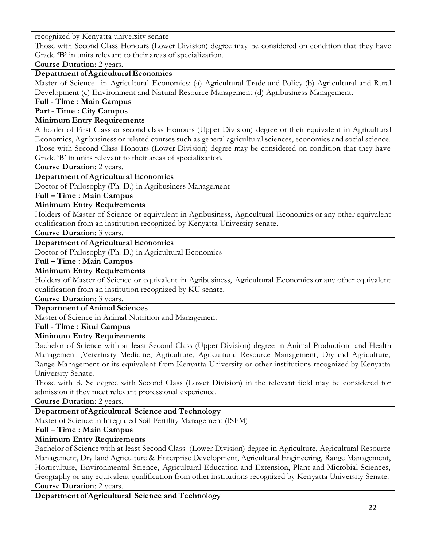recognized by Kenyatta university senate

Those with Second Class Honours (Lower Division) degree may be considered on condition that they have Grade **'B'** in units relevant to their areas of specialization.

**Course Duration**: 2 years.

### **Department of Agricultural Economics**

Master of Science in Agricultural Economics: (a) Agricultural Trade and Policy (b) Agricultural and Rural Development (c) Environment and Natural Resource Management (d) Agribusiness Management.

### **Full - Time : Main Campus**

#### **Part - Time : City Campus**

### **Minimum Entry Requirements**

A holder of First Class or second class Honours (Upper Division) degree or their equivalent in Agricultural Economics, Agribusiness or related courses such as general agricultural sciences, economics and social science. Those with Second Class Honours (Lower Division) degree may be considered on condition that they have Grade 'B' in units relevant to their areas of specialization.

**Course Duration**: 2 years.

### **Department of Agricultural Economics**

Doctor of Philosophy (Ph. D.) in Agribusiness Management

#### **Full – Time : Main Campus**

### **Minimum Entry Requirements**

Holders of Master of Science or equivalent in Agribusiness, Agricultural Economics or any other equivalent qualification from an institution recognized by Kenyatta University senate.

**Course Duration**: 3 years.

### **Department of Agricultural Economics**

Doctor of Philosophy (Ph. D.) in Agricultural Economics

#### **Full – Time : Main Campus**

### **Minimum Entry Requirements**

Holders of Master of Science or equivalent in Agribusiness, Agricultural Economics or any other equivalent qualification from an institution recognized by KU senate.

**Course Duration**: 3 years.

### **Department of Animal Sciences**

Master of Science in Animal Nutrition and Management

#### **Full - Time : Kitui Campus**

### **Minimum Entry Requirements**

Bachelor of Science with at least Second Class (Upper Division) degree in Animal Production and Health Management ,Veterinary Medicine, Agriculture, Agricultural Resource Management, Dryland Agriculture, Range Management or its equivalent from Kenyatta University or other institutions recognized by Kenyatta University Senate.

Those with B. Sc degree with Second Class (Lower Division) in the relevant field may be considered for admission if they meet relevant professional experience.

**Course Duration**: 2 years.

### **Department of Agricultural Science and Technology**

Master of Science in Integrated Soil Fertility Management (ISFM)

### **Full – Time : Main Campus**

### **Minimum Entry Requirements**

Bachelor of Science with at least Second Class (Lower Division) degree in Agriculture, Agricultural Resource Management, Dry land Agriculture & Enterprise Development, Agricultural Engineering, Range Management, Horticulture, Environmental Science, Agricultural Education and Extension, Plant and Microbial Sciences, Geography or any equivalent qualification from other institutions recognized by Kenyatta University Senate. **Course Duration**: 2 years.

**Department of Agricultural Science and Technology**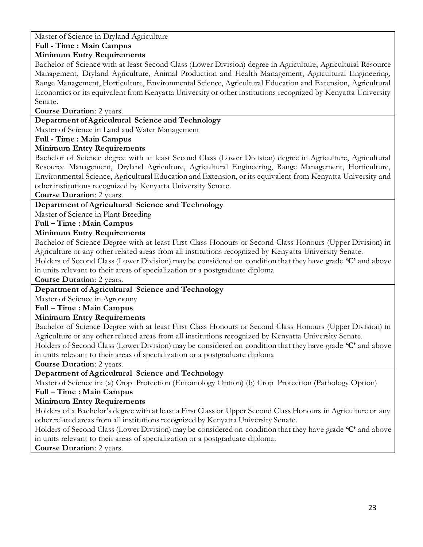Master of Science in Dryland Agriculture

# **Full - Time : Main Campus**

### **Minimum Entry Requirements**

Bachelor of Science with at least Second Class (Lower Division) degree in Agriculture, Agricultural Resource Management, Dryland Agriculture, Animal Production and Health Management, Agricultural Engineering, Range Management, Horticulture, Environmental Science, Agricultural Education and Extension, Agricultural Economics or its equivalent from Kenyatta University or other institutions recognized by Kenyatta University Senate.

**Course Duration**: 2 years.

### **Department of Agricultural Science and Technology**

Master of Science in Land and Water Management

### **Full - Time : Main Campus**

### **Minimum Entry Requirements**

Bachelor of Science degree with at least Second Class (Lower Division) degree in Agriculture, Agricultural Resource Management, Dryland Agriculture, Agricultural Engineering, Range Management, Horticulture, Environmental Science, Agricultural Education and Extension, or its equivalent from Kenyatta University and other institutions recognized by Kenyatta University Senate.

**Course Duration**: 2 years.

# **Department of Agricultural Science and Technology**

Master of Science in Plant Breeding

### **Full – Time : Main Campus**

### **Minimum Entry Requirements**

Bachelor of Science Degree with at least First Class Honours or Second Class Honours (Upper Division) in Agriculture or any other related areas from all institutions recognized by Kenyatta University Senate.

Holders of Second Class (Lower Division) may be considered on condition that they have grade **'C'** and above in units relevant to their areas of specialization or a postgraduate diploma

**Course Duration**: 2 years.

### **Department of Agricultural Science and Technology**

Master of Science in Agronomy

### **Full – Time : Main Campus**

# **Minimum Entry Requirements**

Bachelor of Science Degree with at least First Class Honours or Second Class Honours (Upper Division) in Agriculture or any other related areas from all institutions recognized by Kenyatta University Senate.

Holders of Second Class (Lower Division) may be considered on condition that they have grade **'C'** and above in units relevant to their areas of specialization or a postgraduate diploma

**Course Duration**: 2 years.

# **Department of Agricultural Science and Technology**

Master of Science in: (a) Crop Protection (Entomology Option) (b) Crop Protection (Pathology Option) **Full – Time : Main Campus**

### **Minimum Entry Requirements**

Holders of a Bachelor's degree with at least a First Class or Upper Second Class Honours in Agriculture or any other related areas from all institutions recognized by Kenyatta University Senate.

Holders of Second Class (Lower Division) may be considered on condition that they have grade **'C'** and above in units relevant to their areas of specialization or a postgraduate diploma.

**Course Duration**: 2 years.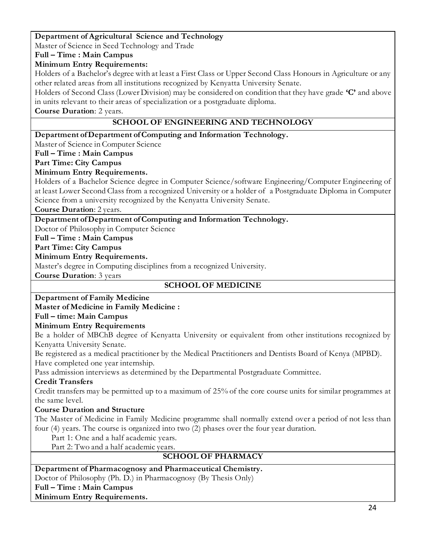### **Department of Agricultural Science and Technology**

Master of Science in Seed Technology and Trade

# **Full – Time : Main Campus**

### **Minimum Entry Requirements:**

Holders of a Bachelor's degree with at least a First Class or Upper Second Class Honours in Agriculture or any other related areas from all institutions recognized by Kenyatta University Senate.

Holders of Second Class (Lower Division) may be considered on condition that they have grade **'C'** and above in units relevant to their areas of specialization or a postgraduate diploma.

**Course Duration**: 2 years.

### **SCHOOL OF ENGINEERING AND TECHNOLOGY**

### **Department of Department of Computing and Information Technology.**

Master of Science in Computer Science

### **Full – Time : Main Campus**

### **Part Time: City Campus**

### **Minimum Entry Requirements.**

Holders of a Bachelor Science degree in Computer Science/software Engineering/Computer Engineering of at least Lower Second Class from a recognized University or a holder of a Postgraduate Diploma in Computer Science from a university recognized by the Kenyatta University Senate.

**Course Duration**: 2 years.

# **Department of Department of Computing and Information Technology.**

Doctor of Philosophy in Computer Science

### **Full – Time : Main Campus**

**Part Time: City Campus**

### **Minimum Entry Requirements.**

Master's degree in Computing disciplines from a recognized University.

**Course Duration**: 3 years

# **SCHOOL OF MEDICINE**

# **Department of Family Medicine**

# **Master of Medicine in Family Medicine :**

# **Full – time: Main Campus**

### **Minimum Entry Requirements**

1) Be a holder of MBChB degree of Kenyatta University or equivalent from other institutions recognized by Kenyatta University Senate.

2) Be registered as a medical practitioner by the Medical Practitioners and Dentists Board of Kenya (MPBD). Have completed one year internship.

Pass admission interviews as determined by the Departmental Postgraduate Committee.

### **Credit Transfers**

Credit transfers may be permitted up to a maximum of 25% of the core course units for similar programmes at the same level.

# **Course Duration and Structure**

The Master of Medicine in Family Medicine programme shall normally extend over a period of not less than four (4) years. The course is organized into two (2) phases over the four year duration.

Part 1: One and a half academic years.

Part 2: Two and a half academic years.

# **SCHOOL OF PHARMACY**

### **Department of Pharmacognosy and Pharmaceutical Chemistry.**

Doctor of Philosophy (Ph. D.) in Pharmacognosy (By Thesis Only)

**Full – Time : Main Campus**

### **Minimum Entry Requirements.**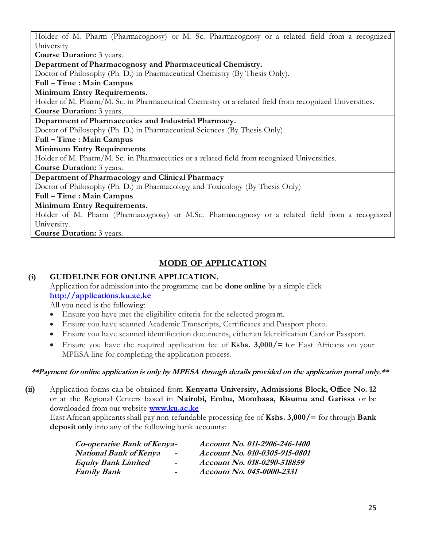Holder of M. Pharm (Pharmacognosy) or M. Sc. Pharmacognosy or a related field from a recognized University

**Course Duration:** 3 years.

**Department of Pharmacognosy and Pharmaceutical Chemistry.**

Doctor of Philosophy (Ph. D.) in Pharmaceutical Chemistry (By Thesis Only).

# **Full – Time : Main Campus**

### **Minimum Entry Requirements.**

Holder of M. Pharm/M. Sc. in Pharmaceutical Chemistry or a related field from recognized Universities. **Course Duration:** 3 years.

# **Department of Pharmaceutics and Industrial Pharmacy.**

Doctor of Philosophy (Ph. D.) in Pharmaceutical Sciences (By Thesis Only).

### **Full – Time : Main Campus**

### **Minimum Entry Requirements**

Holder of M. Pharm/M. Sc. in Pharmaceutics or a related field from recognized Universities.

**Course Duration:** 3 years.

### **Department of Pharmacology and Clinical Pharmacy**

Doctor of Philosophy (Ph. D.) in Pharmacology and Toxicology (By Thesis Only)

### **Full – Time : Main Campus**

### **Minimum Entry Requirements.**

Holder of M. Pharm (Pharmacognosy) or M.Sc. Pharmacognosy or a related field from a recognized University.

**Course Duration:** 3 years.

# **MODE OF APPLICATION**

# **(i) GUIDELINE FOR ONLINE APPLICATION.**

Application for admission into the programme can be **done online** by a simple click **[http://applications.ku.ac.ke](http://applications.ku.ac.ke/)**

All you need is the following:

- Ensure you have met the eligibility criteria for the selected program.
- Ensure you have scanned Academic Transcripts, Certificates and Passport photo.
- Ensure you have scanned identification documents, either an Identification Card or Passport.
- Ensure you have the required application fee of **Kshs. 3,000/=** for East Africans on your MPESA line for completing the application process.

### **\*\*Payment for online application is only by MPESA through details provided on the application portal only.\*\***

**(ii)** Application forms can be obtained from **Kenyatta University, Admissions Block, Office No. 12** or at the Regional Centers based in **Nairobi, Embu, Mombasa, Kisumu and Garissa** or be downloaded from our website **[www.ku.ac.ke](http://www.ku.ac.ke/)**

East African applicants shall pay non-refundable processing fee of **Kshs. 3,000/=** for through **Bank deposit only** into any of the following bank accounts:

| Co-operative Bank of Kenya-   |                          | Account No. 011-2906-246-1400 |
|-------------------------------|--------------------------|-------------------------------|
| <b>National Bank of Kenya</b> | $\overline{\phantom{0}}$ | Account No. 010-0305-915-0801 |
| <b>Equity Bank Limited</b>    | $\sim$                   | Account No. 018-0290-518859   |
| Family Bank                   | $\blacksquare$           | Account No. 045-0000-2331     |